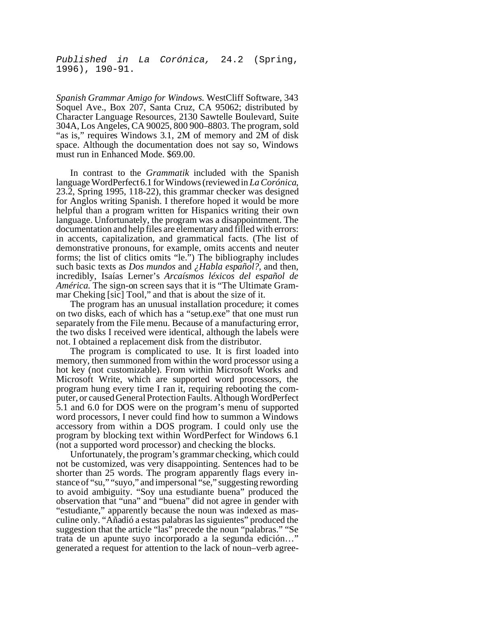*Published in La Corónica,* 24.2 (Spring, 1996), 190-91.

*Spanish Grammar Amigo for Windows.* WestCliff Software, 343 Soquel Ave., Box 207, Santa Cruz, CA 95062; distributed by Character Language Resources, 2130 Sawtelle Boulevard, Suite 304A, Los Angeles, CA 90025, 800 900–8803. The program, sold "as is," requires Windows 3.1, 2M of memory and 2M of disk space. Although the documentation does not say so, Windows must run in Enhanced Mode. \$69.00.

In contrast to the *Grammatik* included with the Spanish languageWordPerfect6.1 forWindows(reviewedin *La Corónica*, 23.2, Spring 1995, 118-22), this grammar checker was designed for Anglos writing Spanish. I therefore hoped it would be more helpful than a program written for Hispanics writing their own language. Unfortunately, the program was a disappointment. The documentation and help files are elementary and filled with errors: in accents, capitalization, and grammatical facts. (The list of demonstrative pronouns, for example, omits accents and neuter forms; the list of clitics omits "le.") The bibliography includes such basic texts as *Dos mundos* and *¿Habla español?*, and then, incredibly, Isaías Lerner's *Arcaísmos léxicos del español de América*. The sign-on screen says that it is "The Ultimate Grammar Cheking [sic] Tool," and that is about the size of it.

The program has an unusual installation procedure; it comes on two disks, each of which has a "setup.exe" that one must run separately from the File menu. Because of a manufacturing error, the two disks I received were identical, although the labels were not. I obtained a replacement disk from the distributor.

The program is complicated to use. It is first loaded into memory, then summoned from within the word processor using a hot key (not customizable). From within Microsoft Works and Microsoft Write, which are supported word processors, the program hung every time I ran it, requiring rebooting the computer, or caused General Protection Faults. Although WordPerfect 5.1 and 6.0 for DOS were on the program's menu of supported word processors, I never could find how to summon a Windows accessory from within a DOS program. I could only use the program by blocking text within WordPerfect for Windows 6.1 (not a supported word processor) and checking the blocks.

Unfortunately, the program's grammar checking, which could not be customized, was very disappointing. Sentences had to be shorter than 25 words. The program apparently flags every instance of "su," "suyo," and impersonal "se," suggesting rewording to avoid ambiguity. "Soy una estudiante buena" produced the observation that "una" and "buena" did not agree in gender with "estudiante," apparently because the noun was indexed as masculine only. "Añadió a estas palabras las siguientes" produced the suggestion that the article "las" precede the noun "palabras." "Se trata de un apunte suyo incorporado a la segunda edición…" generated a request for attention to the lack of noun–verb agree